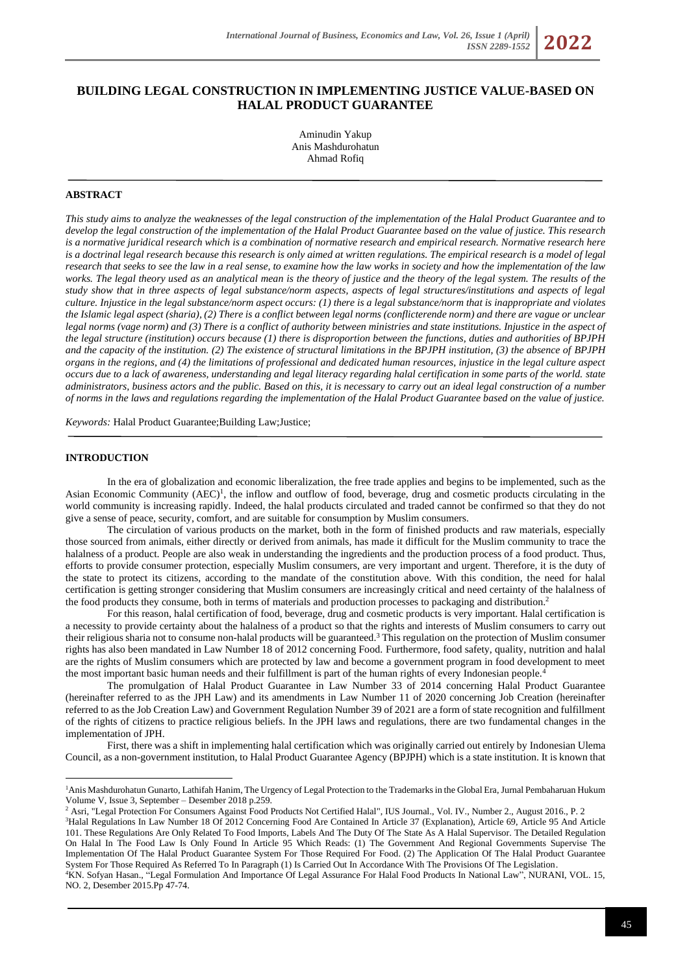# **BUILDING LEGAL CONSTRUCTION IN IMPLEMENTING JUSTICE VALUE-BASED ON HALAL PRODUCT GUARANTEE**

Aminudin Yakup Anis Mashdurohatun Ahmad Rofiq

## **ABSTRACT**

*This study aims to analyze the weaknesses of the legal construction of the implementation of the Halal Product Guarantee and to develop the legal construction of the implementation of the Halal Product Guarantee based on the value of justice. This research is a normative juridical research which is a combination of normative research and empirical research. Normative research here is a doctrinal legal research because this research is only aimed at written regulations. The empirical research is a model of legal research that seeks to see the law in a real sense, to examine how the law works in society and how the implementation of the law*  works. The legal theory used as an analytical mean is the theory of justice and the theory of the legal system. The results of the *study show that in three aspects of legal substance/norm aspects, aspects of legal structures/institutions and aspects of legal culture. Injustice in the legal substance/norm aspect occurs: (1) there is a legal substance/norm that is inappropriate and violates the Islamic legal aspect (sharia), (2) There is a conflict between legal norms (conflicterende norm) and there are vague or unclear legal norms (vage norm) and (3) There is a conflict of authority between ministries and state institutions. Injustice in the aspect of the legal structure (institution) occurs because (1) there is disproportion between the functions, duties and authorities of BPJPH and the capacity of the institution. (2) The existence of structural limitations in the BPJPH institution, (3) the absence of BPJPH organs in the regions, and (4) the limitations of professional and dedicated human resources, injustice in the legal culture aspect occurs due to a lack of awareness, understanding and legal literacy regarding halal certification in some parts of the world. state administrators, business actors and the public. Based on this, it is necessary to carry out an ideal legal construction of a number of norms in the laws and regulations regarding the implementation of the Halal Product Guarantee based on the value of justice.*

*Keywords:* Halal Product Guarantee;Building Law;Justice;

### **INTRODUCTION**

In the era of globalization and economic liberalization, the free trade applies and begins to be implemented, such as the Asian Economic Community (AEC)<sup>1</sup>, the inflow and outflow of food, beverage, drug and cosmetic products circulating in the world community is increasing rapidly. Indeed, the halal products circulated and traded cannot be confirmed so that they do not give a sense of peace, security, comfort, and are suitable for consumption by Muslim consumers.

The circulation of various products on the market, both in the form of finished products and raw materials, especially those sourced from animals, either directly or derived from animals, has made it difficult for the Muslim community to trace the halalness of a product. People are also weak in understanding the ingredients and the production process of a food product. Thus, efforts to provide consumer protection, especially Muslim consumers, are very important and urgent. Therefore, it is the duty of the state to protect its citizens, according to the mandate of the constitution above. With this condition, the need for halal certification is getting stronger considering that Muslim consumers are increasingly critical and need certainty of the halalness of the food products they consume, both in terms of materials and production processes to packaging and distribution.<sup>2</sup>

For this reason, halal certification of food, beverage, drug and cosmetic products is very important. Halal certification is a necessity to provide certainty about the halalness of a product so that the rights and interests of Muslim consumers to carry out their religious sharia not to consume non-halal products will be guaranteed.<sup>3</sup> This regulation on the protection of Muslim consumer rights has also been mandated in Law Number 18 of 2012 concerning Food. Furthermore, food safety, quality, nutrition and halal are the rights of Muslim consumers which are protected by law and become a government program in food development to meet the most important basic human needs and their fulfillment is part of the human rights of every Indonesian people.<sup>4</sup>

The promulgation of Halal Product Guarantee in Law Number 33 of 2014 concerning Halal Product Guarantee (hereinafter referred to as the JPH Law) and its amendments in Law Number 11 of 2020 concerning Job Creation (hereinafter referred to as the Job Creation Law) and Government Regulation Number 39 of 2021 are a form of state recognition and fulfillment of the rights of citizens to practice religious beliefs. In the JPH laws and regulations, there are two fundamental changes in the implementation of JPH.

First, there was a shift in implementing halal certification which was originally carried out entirely by Indonesian Ulema Council, as a non-government institution, to Halal Product Guarantee Agency (BPJPH) which is a state institution. It is known that

<sup>1</sup>Anis Mashdurohatun Gunarto, Lathifah Hanim, The Urgency of Legal Protection to the Trademarks in the Global Era, Jurnal Pembaharuan Hukum Volume V, Issue 3, September – Desember 2018 p.259.

<sup>&</sup>lt;sup>2</sup> Asri, "Legal Protection For Consumers Against Food Products Not Certified Halal", IUS Journal., Vol. IV., Number 2., August 2016., P. 2 <sup>3</sup>Halal Regulations In Law Number 18 Of 2012 Concerning Food Are Contained In Article 37 (Explanation), Article 69, Article 95 And Article 101. These Regulations Are Only Related To Food Imports, Labels And The Duty Of The State As A Halal Supervisor. The Detailed Regulation On Halal In The Food Law Is Only Found In Article 95 Which Reads: (1) The Government And Regional Governments Supervise The Implementation Of The Halal Product Guarantee System For Those Required For Food. (2) The Application Of The Halal Product Guarantee System For Those Required As Referred To In Paragraph (1) Is Carried Out In Accordance With The Provisions Of The Legislation.

<sup>4</sup>KN. Sofyan Hasan., "Legal Formulation And Importance Of Legal Assurance For Halal Food Products In National Law", NURANI, VOL. 15, NO. 2, Desember 2015.Pp 47-74.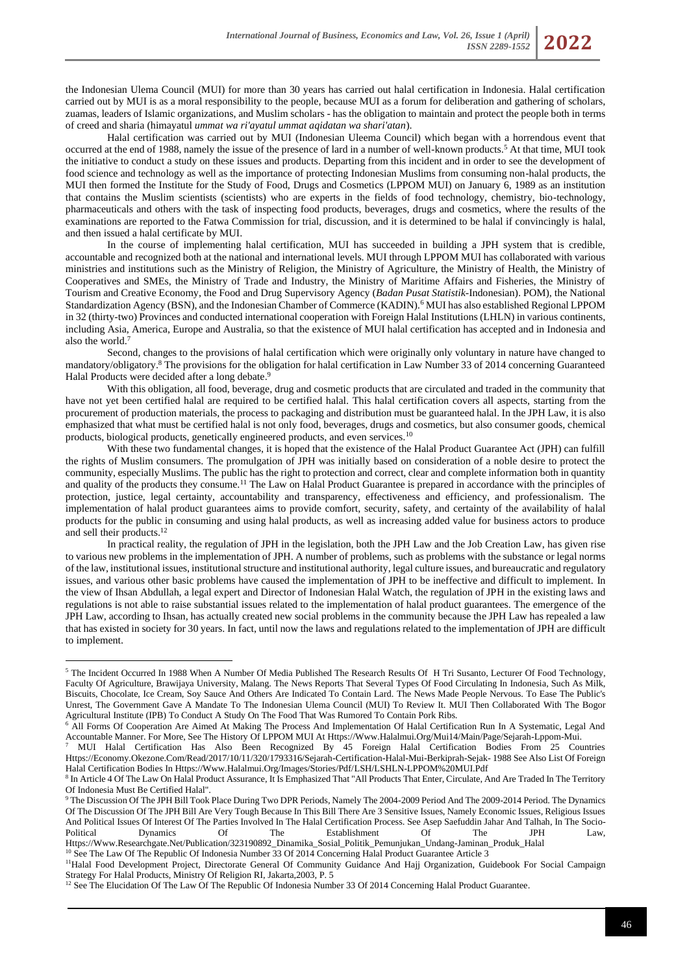the Indonesian Ulema Council (MUI) for more than 30 years has carried out halal certification in Indonesia. Halal certification carried out by MUI is as a moral responsibility to the people, because MUI as a forum for deliberation and gathering of scholars, zuamas, leaders of Islamic organizations, and Muslim scholars - has the obligation to maintain and protect the people both in terms of creed and sharia (himayatul *ummat wa ri'ayatul ummat aqidatan wa shari'atan*).

Halal certification was carried out by MUI (Indonesian Uleema Council) which began with a horrendous event that occurred at the end of 1988, namely the issue of the presence of lard in a number of well-known products.<sup>5</sup> At that time, MUI took the initiative to conduct a study on these issues and products. Departing from this incident and in order to see the development of food science and technology as well as the importance of protecting Indonesian Muslims from consuming non-halal products, the MUI then formed the Institute for the Study of Food, Drugs and Cosmetics (LPPOM MUI) on January 6, 1989 as an institution that contains the Muslim scientists (scientists) who are experts in the fields of food technology, chemistry, bio-technology, pharmaceuticals and others with the task of inspecting food products, beverages, drugs and cosmetics, where the results of the examinations are reported to the Fatwa Commission for trial, discussion, and it is determined to be halal if convincingly is halal, and then issued a halal certificate by MUI.

In the course of implementing halal certification, MUI has succeeded in building a JPH system that is credible, accountable and recognized both at the national and international levels. MUI through LPPOM MUI has collaborated with various ministries and institutions such as the Ministry of Religion, the Ministry of Agriculture, the Ministry of Health, the Ministry of Cooperatives and SMEs, the Ministry of Trade and Industry, the Ministry of Maritime Affairs and Fisheries, the Ministry of Tourism and Creative Economy, the Food and Drug Supervisory Agency (*Badan Pusat Statistik*-Indonesian). POM), the National Standardization Agency (BSN), and the Indonesian Chamber of Commerce (KADIN).<sup>6</sup> MUI has also established Regional LPPOM in 32 (thirty-two) Provinces and conducted international cooperation with Foreign Halal Institutions (LHLN) in various continents, including Asia, America, Europe and Australia, so that the existence of MUI halal certification has accepted and in Indonesia and also the world.<sup>7</sup>

Second, changes to the provisions of halal certification which were originally only voluntary in nature have changed to mandatory/obligatory.<sup>8</sup> The provisions for the obligation for halal certification in Law Number 33 of 2014 concerning Guaranteed Halal Products were decided after a long debate.<sup>9</sup>

With this obligation, all food, beverage, drug and cosmetic products that are circulated and traded in the community that have not yet been certified halal are required to be certified halal. This halal certification covers all aspects, starting from the procurement of production materials, the process to packaging and distribution must be guaranteed halal. In the JPH Law, it is also emphasized that what must be certified halal is not only food, beverages, drugs and cosmetics, but also consumer goods, chemical products, biological products, genetically engineered products, and even services.<sup>10</sup>

With these two fundamental changes, it is hoped that the existence of the Halal Product Guarantee Act (JPH) can fulfill the rights of Muslim consumers. The promulgation of JPH was initially based on consideration of a noble desire to protect the community, especially Muslims. The public has the right to protection and correct, clear and complete information both in quantity and quality of the products they consume.<sup>11</sup> The Law on Halal Product Guarantee is prepared in accordance with the principles of protection, justice, legal certainty, accountability and transparency, effectiveness and efficiency, and professionalism. The implementation of halal product guarantees aims to provide comfort, security, safety, and certainty of the availability of halal products for the public in consuming and using halal products, as well as increasing added value for business actors to produce and sell their products.<sup>12</sup>

In practical reality, the regulation of JPH in the legislation, both the JPH Law and the Job Creation Law, has given rise to various new problems in the implementation of JPH. A number of problems, such as problems with the substance or legal norms of the law, institutional issues, institutional structure and institutional authority, legal culture issues, and bureaucratic and regulatory issues, and various other basic problems have caused the implementation of JPH to be ineffective and difficult to implement. In the view of Ihsan Abdullah, a legal expert and Director of Indonesian Halal Watch, the regulation of JPH in the existing laws and regulations is not able to raise substantial issues related to the implementation of halal product guarantees. The emergence of the JPH Law, according to Ihsan, has actually created new social problems in the community because the JPH Law has repealed a law that has existed in society for 30 years. In fact, until now the laws and regulations related to the implementation of JPH are difficult to implement.

<sup>10</sup> See The Law Of The Republic Of Indonesia Number 33 Of 2014 Concerning Halal Product Guarantee Article 3

<sup>&</sup>lt;sup>5</sup> The Incident Occurred In 1988 When A Number Of Media Published The Research Results Of H Tri Susanto, Lecturer Of Food Technology, Faculty Of Agriculture, Brawijaya University, Malang. The News Reports That Several Types Of Food Circulating In Indonesia, Such As Milk, Biscuits, Chocolate, Ice Cream, Soy Sauce And Others Are Indicated To Contain Lard. The News Made People Nervous. To Ease The Public's Unrest, The Government Gave A Mandate To The Indonesian Ulema Council (MUI) To Review It. MUI Then Collaborated With The Bogor Agricultural Institute (IPB) To Conduct A Study On The Food That Was Rumored To Contain Pork Ribs.

<sup>&</sup>lt;sup>6</sup> All Forms Of Cooperation Are Aimed At Making The Process And Implementation Of Halal Certification Run In A Systematic, Legal And Accountable Manner. For More, See The History Of LPPOM MUI At Https://Www.Halalmui.Org/Mui14/Main/Page/Sejarah-Lppom-Mui.

<sup>7</sup> MUI Halal Certification Has Also Been Recognized By 45 Foreign Halal Certification Bodies From 25 Countries Https://Economy.Okezone.Com/Read/2017/10/11/320/1793316/Sejarah-Certification-Halal-Mui-Berkiprah-Sejak- 1988 See Also List Of Foreign Halal Certification Bodies In Https://Www.Halalmui.Org/Images/Stories/Pdf/LSH/LSHLN-LPPOM%20MUI.Pdf

<sup>&</sup>lt;sup>8</sup> In Article 4 Of The Law On Halal Product Assurance, It Is Emphasized That "All Products That Enter, Circulate, And Are Traded In The Territory Of Indonesia Must Be Certified Halal".

<sup>9</sup> The Discussion Of The JPH Bill Took Place During Two DPR Periods, Namely The 2004-2009 Period And The 2009-2014 Period. The Dynamics Of The Discussion Of The JPH Bill Are Very Tough Because In This Bill There Are 3 Sensitive Issues, Namely Economic Issues, Religious Issues And Political Issues Of Interest Of The Parties Involved In The Halal Certification Process. See Asep Saefuddin Jahar And Talhah, In The Socio-Political Dynamics Of The Establishment Of The JPH Law, Https://Www.Researchgate.Net/Publication/323190892\_Dinamika\_Sosial\_Politik\_Pemunjukan\_Undang-Jaminan\_Produk\_Halal

<sup>&</sup>lt;sup>11</sup>Halal Food Development Project, Directorate General Of Community Guidance And Hajj Organization, Guidebook For Social Campaign Strategy For Halal Products, Ministry Of Religion RI, Jakarta,2003, P. 5

<sup>&</sup>lt;sup>12</sup> See The Elucidation Of The Law Of The Republic Of Indonesia Number 33 Of 2014 Concerning Halal Product Guarantee.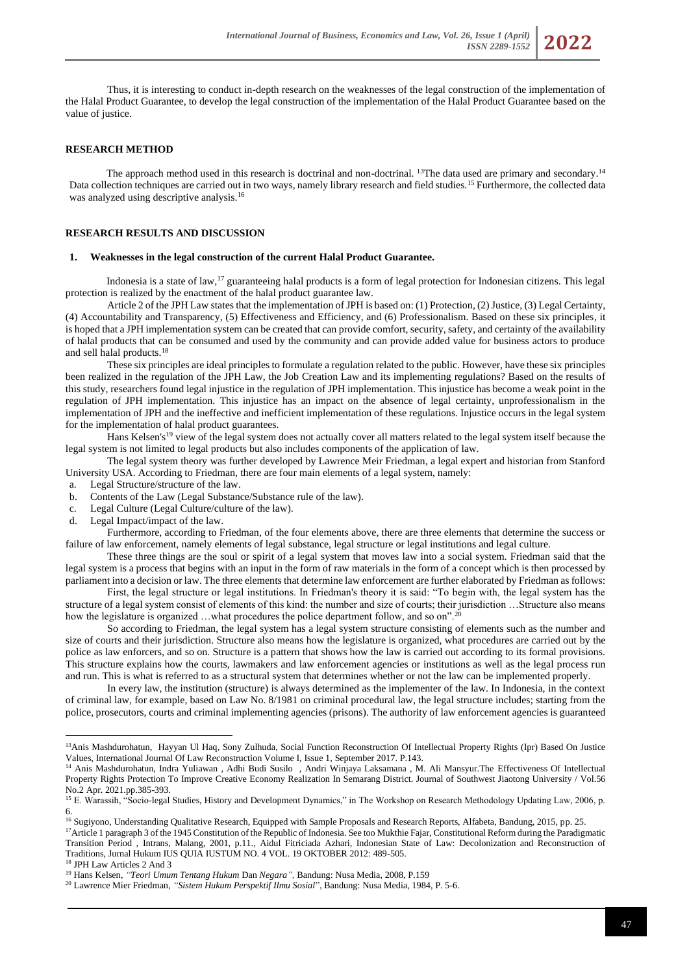Thus, it is interesting to conduct in-depth research on the weaknesses of the legal construction of the implementation of the Halal Product Guarantee, to develop the legal construction of the implementation of the Halal Product Guarantee based on the value of justice.

#### **RESEARCH METHOD**

The approach method used in this research is doctrinal and non-doctrinal. <sup>13</sup>The data used are primary and secondary.<sup>14</sup> Data collection techniques are carried out in two ways, namely library research and field studies.<sup>15</sup> Furthermore, the collected data was analyzed using descriptive analysis.<sup>16</sup>

## **RESEARCH RESULTS AND DISCUSSION**

#### **1. Weaknesses in the legal construction of the current Halal Product Guarantee.**

Indonesia is a state of law,<sup>17</sup> guaranteeing halal products is a form of legal protection for Indonesian citizens. This legal protection is realized by the enactment of the halal product guarantee law.

Article 2 of the JPH Law states that the implementation of JPH is based on: (1) Protection, (2) Justice, (3) Legal Certainty, (4) Accountability and Transparency, (5) Effectiveness and Efficiency, and (6) Professionalism. Based on these six principles, it is hoped that a JPH implementation system can be created that can provide comfort, security, safety, and certainty of the availability of halal products that can be consumed and used by the community and can provide added value for business actors to produce and sell halal products.<sup>18</sup>

These six principles are ideal principles to formulate a regulation related to the public. However, have these six principles been realized in the regulation of the JPH Law, the Job Creation Law and its implementing regulations? Based on the results of this study, researchers found legal injustice in the regulation of JPH implementation. This injustice has become a weak point in the regulation of JPH implementation. This injustice has an impact on the absence of legal certainty, unprofessionalism in the implementation of JPH and the ineffective and inefficient implementation of these regulations. Injustice occurs in the legal system for the implementation of halal product guarantees.

Hans Kelsen's<sup>19</sup> view of the legal system does not actually cover all matters related to the legal system itself because the legal system is not limited to legal products but also includes components of the application of law.

The legal system theory was further developed by Lawrence Meir Friedman, a legal expert and historian from Stanford University USA. According to Friedman, there are four main elements of a legal system, namely:

- a. Legal Structure/structure of the law.
- b. Contents of the Law (Legal Substance/Substance rule of the law).
- c. Legal Culture (Legal Culture/culture of the law).
- d. Legal Impact/impact of the law.

Furthermore, according to Friedman, of the four elements above, there are three elements that determine the success or failure of law enforcement, namely elements of legal substance, legal structure or legal institutions and legal culture.

These three things are the soul or spirit of a legal system that moves law into a social system. Friedman said that the legal system is a process that begins with an input in the form of raw materials in the form of a concept which is then processed by parliament into a decision or law. The three elements that determine law enforcement are further elaborated by Friedman as follows:

First, the legal structure or legal institutions. In Friedman's theory it is said: "To begin with, the legal system has the structure of a legal system consist of elements of this kind: the number and size of courts; their jurisdiction …Structure also means how the legislature is organized ... what procedures the police department follow, and so on".<sup>20</sup>

So according to Friedman, the legal system has a legal system structure consisting of elements such as the number and size of courts and their jurisdiction. Structure also means how the legislature is organized, what procedures are carried out by the police as law enforcers, and so on. Structure is a pattern that shows how the law is carried out according to its formal provisions. This structure explains how the courts, lawmakers and law enforcement agencies or institutions as well as the legal process run and run. This is what is referred to as a structural system that determines whether or not the law can be implemented properly.

In every law, the institution (structure) is always determined as the implementer of the law. In Indonesia, in the context of criminal law, for example, based on Law No. 8/1981 on criminal procedural law, the legal structure includes; starting from the police, prosecutors, courts and criminal implementing agencies (prisons). The authority of law enforcement agencies is guaranteed

<sup>16</sup> Sugiyono, Understanding Qualitative Research, Equipped with Sample Proposals and Research Reports, Alfabeta, Bandung, 2015, pp. 25.

<sup>17</sup>Article 1 paragraph 3 of the 1945 Constitution of the Republic of Indonesia. See too Mukthie Fajar, Constitutional Reform during the Paradigmatic Transition Period , Intrans, Malang, 2001, p.11., Aidul Fitriciada Azhari, Indonesian State of Law: Decolonization and Reconstruction of Traditions, Jurnal Hukum IUS QUIA IUSTUM NO. 4 VOL. 19 OKTOBER 2012: 489-505.

<sup>18</sup> JPH Law Articles 2 And 3

<sup>&</sup>lt;sup>13</sup>Anis Mashdurohatun, Hayyan Ul Haq, Sony Zulhuda, Social Function Reconstruction Of Intellectual Property Rights (Ipr) Based On Justice Values, International Journal Of Law Reconstruction Volume I, Issue 1, September 2017. P.143.

<sup>14</sup> Anis Mashdurohatun, Indra Yuliawan , Adhi Budi Susilo , Andri Winjaya Laksamana , M. Ali Mansyur.The Effectiveness Of Intellectual Property Rights Protection To Improve Creative Economy Realization In Semarang District. Journal of Southwest Jiaotong University / Vol.56 No.2 Apr. 2021.pp.385-393.

<sup>&</sup>lt;sup>15</sup> E. Warassih, "Socio-legal Studies, History and Development Dynamics," in The Workshop on Research Methodology Updating Law, 2006, p. 6.

<sup>19</sup> Hans Kelsen, *"Teori Umum Tentang Hukum* Dan *Negara",* Bandung: Nusa Media, 2008, P.159

<sup>20</sup> Lawrence Mier Friedman, *"Sistem Hukum Perspektif Ilmu Sosial*", Bandung: Nusa Media, 1984, P. 5-6.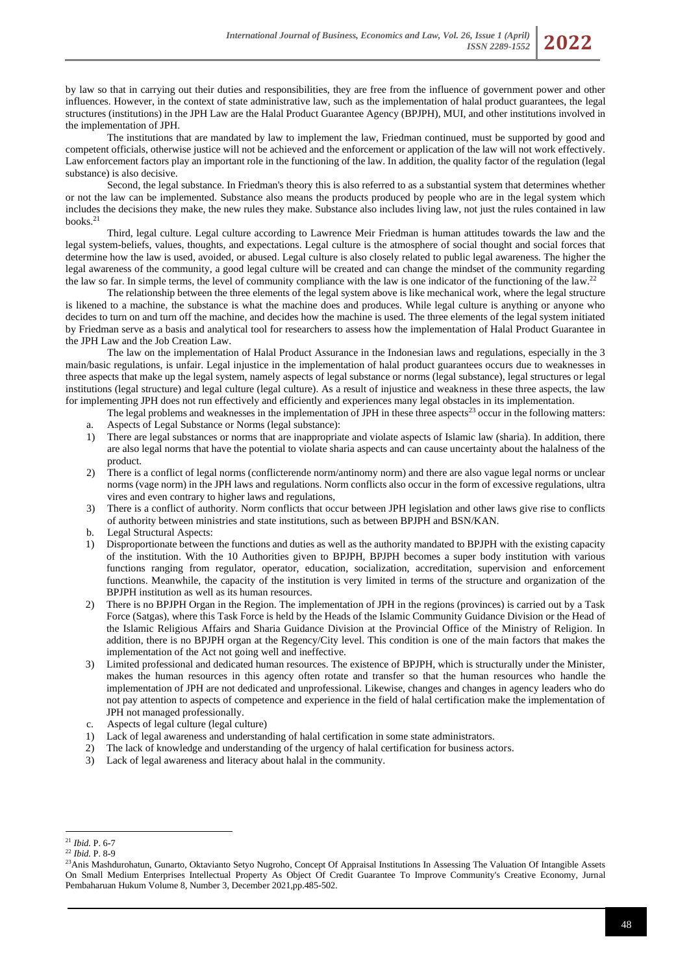by law so that in carrying out their duties and responsibilities, they are free from the influence of government power and other influences. However, in the context of state administrative law, such as the implementation of halal product guarantees, the legal structures (institutions) in the JPH Law are the Halal Product Guarantee Agency (BPJPH), MUI, and other institutions involved in the implementation of JPH.

The institutions that are mandated by law to implement the law, Friedman continued, must be supported by good and competent officials, otherwise justice will not be achieved and the enforcement or application of the law will not work effectively. Law enforcement factors play an important role in the functioning of the law. In addition, the quality factor of the regulation (legal substance) is also decisive.

Second, the legal substance. In Friedman's theory this is also referred to as a substantial system that determines whether or not the law can be implemented. Substance also means the products produced by people who are in the legal system which includes the decisions they make, the new rules they make. Substance also includes living law, not just the rules contained in law books.<sup>21</sup>

Third, legal culture. Legal culture according to Lawrence Meir Friedman is human attitudes towards the law and the legal system-beliefs, values, thoughts, and expectations. Legal culture is the atmosphere of social thought and social forces that determine how the law is used, avoided, or abused. Legal culture is also closely related to public legal awareness. The higher the legal awareness of the community, a good legal culture will be created and can change the mindset of the community regarding the law so far. In simple terms, the level of community compliance with the law is one indicator of the functioning of the law.<sup>22</sup>

The relationship between the three elements of the legal system above is like mechanical work, where the legal structure is likened to a machine, the substance is what the machine does and produces. While legal culture is anything or anyone who decides to turn on and turn off the machine, and decides how the machine is used. The three elements of the legal system initiated by Friedman serve as a basis and analytical tool for researchers to assess how the implementation of Halal Product Guarantee in the JPH Law and the Job Creation Law.

The law on the implementation of Halal Product Assurance in the Indonesian laws and regulations, especially in the 3 main/basic regulations, is unfair. Legal injustice in the implementation of halal product guarantees occurs due to weaknesses in three aspects that make up the legal system, namely aspects of legal substance or norms (legal substance), legal structures or legal institutions (legal structure) and legal culture (legal culture). As a result of injustice and weakness in these three aspects, the law for implementing JPH does not run effectively and efficiently and experiences many legal obstacles in its implementation.

The legal problems and weaknesses in the implementation of JPH in these three aspects<sup>23</sup> occur in the following matters: a. Aspects of Legal Substance or Norms (legal substance):

- 1) There are legal substances or norms that are inappropriate and violate aspects of Islamic law (sharia). In addition, there are also legal norms that have the potential to violate sharia aspects and can cause uncertainty about the halalness of the product.
- 2) There is a conflict of legal norms (conflicterende norm/antinomy norm) and there are also vague legal norms or unclear norms (vage norm) in the JPH laws and regulations. Norm conflicts also occur in the form of excessive regulations, ultra vires and even contrary to higher laws and regulations,
- 3) There is a conflict of authority. Norm conflicts that occur between JPH legislation and other laws give rise to conflicts of authority between ministries and state institutions, such as between BPJPH and BSN/KAN.
- b. Legal Structural Aspects:
- 1) Disproportionate between the functions and duties as well as the authority mandated to BPJPH with the existing capacity of the institution. With the 10 Authorities given to BPJPH, BPJPH becomes a super body institution with various functions ranging from regulator, operator, education, socialization, accreditation, supervision and enforcement functions. Meanwhile, the capacity of the institution is very limited in terms of the structure and organization of the BPJPH institution as well as its human resources.
- 2) There is no BPJPH Organ in the Region. The implementation of JPH in the regions (provinces) is carried out by a Task Force (Satgas), where this Task Force is held by the Heads of the Islamic Community Guidance Division or the Head of the Islamic Religious Affairs and Sharia Guidance Division at the Provincial Office of the Ministry of Religion. In addition, there is no BPJPH organ at the Regency/City level. This condition is one of the main factors that makes the implementation of the Act not going well and ineffective.
- 3) Limited professional and dedicated human resources. The existence of BPJPH, which is structurally under the Minister, makes the human resources in this agency often rotate and transfer so that the human resources who handle the implementation of JPH are not dedicated and unprofessional. Likewise, changes and changes in agency leaders who do not pay attention to aspects of competence and experience in the field of halal certification make the implementation of JPH not managed professionally.
- c. Aspects of legal culture (legal culture)
- 1) Lack of legal awareness and understanding of halal certification in some state administrators.
- 2) The lack of knowledge and understanding of the urgency of halal certification for business actors.
- 3) Lack of legal awareness and literacy about halal in the community.

<sup>21</sup> *Ibid.* P. 6-7

<sup>22</sup> *Ibid.* P. 8-9

<sup>&</sup>lt;sup>23</sup>Anis Mashdurohatun, Gunarto, Oktavianto Setvo Nugroho, Concept Of Appraisal Institutions In Assessing The Valuation Of Intangible Assets On Small Medium Enterprises Intellectual Property As Object Of Credit Guarantee To Improve Community's Creative Economy, Jurnal Pembaharuan Hukum Volume 8, Number 3, December 2021,pp.485-502.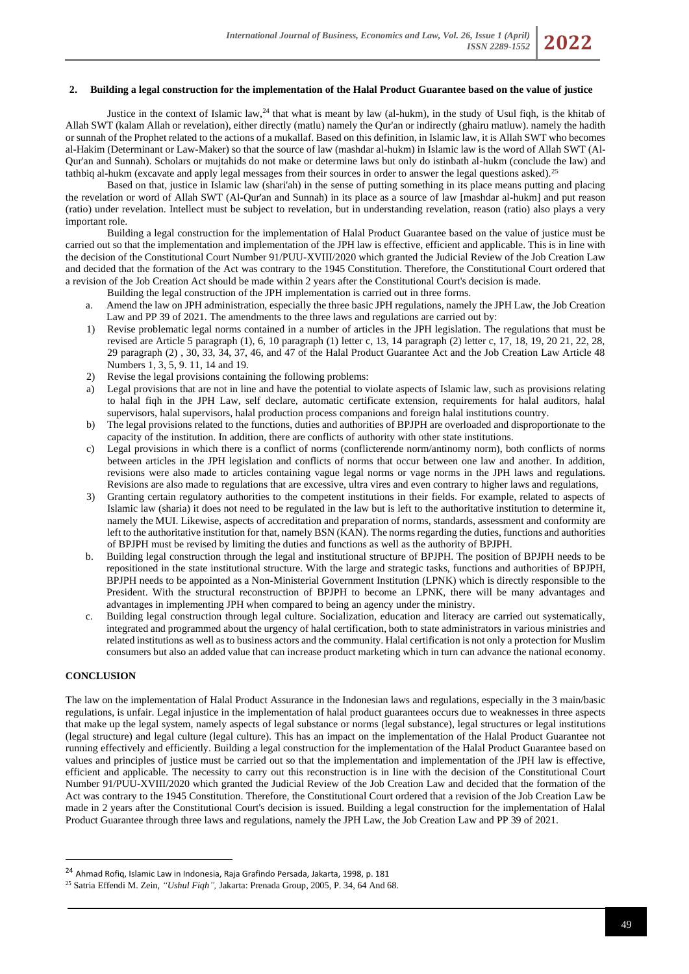## **2. Building a legal construction for the implementation of the Halal Product Guarantee based on the value of justice**

Justice in the context of Islamic law, $^{24}$  that what is meant by law (al-hukm), in the study of Usul figh, is the khitab of Allah SWT (kalam Allah or revelation), either directly (matlu) namely the Qur'an or indirectly (ghairu matluw). namely the hadith or sunnah of the Prophet related to the actions of a mukallaf. Based on this definition, in Islamic law, it is Allah SWT who becomes al-Hakim (Determinant or Law-Maker) so that the source of law (mashdar al-hukm) in Islamic law is the word of Allah SWT (Al-Qur'an and Sunnah). Scholars or mujtahids do not make or determine laws but only do istinbath al-hukm (conclude the law) and tathbiq al-hukm (excavate and apply legal messages from their sources in order to answer the legal questions asked).<sup>25</sup>

Based on that, justice in Islamic law (shari'ah) in the sense of putting something in its place means putting and placing the revelation or word of Allah SWT (Al-Qur'an and Sunnah) in its place as a source of law [mashdar al-hukm] and put reason (ratio) under revelation. Intellect must be subject to revelation, but in understanding revelation, reason (ratio) also plays a very important role.

Building a legal construction for the implementation of Halal Product Guarantee based on the value of justice must be carried out so that the implementation and implementation of the JPH law is effective, efficient and applicable. This is in line with the decision of the Constitutional Court Number 91/PUU-XVIII/2020 which granted the Judicial Review of the Job Creation Law and decided that the formation of the Act was contrary to the 1945 Constitution. Therefore, the Constitutional Court ordered that a revision of the Job Creation Act should be made within 2 years after the Constitutional Court's decision is made.

- Building the legal construction of the JPH implementation is carried out in three forms.
- a. Amend the law on JPH administration, especially the three basic JPH regulations, namely the JPH Law, the Job Creation Law and PP 39 of 2021. The amendments to the three laws and regulations are carried out by:
- 1) Revise problematic legal norms contained in a number of articles in the JPH legislation. The regulations that must be revised are Article 5 paragraph (1), 6, 10 paragraph (1) letter c, 13, 14 paragraph (2) letter c, 17, 18, 19, 20 21, 22, 28, 29 paragraph (2) , 30, 33, 34, 37, 46, and 47 of the Halal Product Guarantee Act and the Job Creation Law Article 48 Numbers 1, 3, 5, 9. 11, 14 and 19.
- 2) Revise the legal provisions containing the following problems:
- a) Legal provisions that are not in line and have the potential to violate aspects of Islamic law, such as provisions relating to halal fiqh in the JPH Law, self declare, automatic certificate extension, requirements for halal auditors, halal supervisors, halal supervisors, halal production process companions and foreign halal institutions country.
- b) The legal provisions related to the functions, duties and authorities of BPJPH are overloaded and disproportionate to the capacity of the institution. In addition, there are conflicts of authority with other state institutions.
- c) Legal provisions in which there is a conflict of norms (conflicterende norm/antinomy norm), both conflicts of norms between articles in the JPH legislation and conflicts of norms that occur between one law and another. In addition, revisions were also made to articles containing vague legal norms or vage norms in the JPH laws and regulations. Revisions are also made to regulations that are excessive, ultra vires and even contrary to higher laws and regulations,
- 3) Granting certain regulatory authorities to the competent institutions in their fields. For example, related to aspects of Islamic law (sharia) it does not need to be regulated in the law but is left to the authoritative institution to determine it, namely the MUI. Likewise, aspects of accreditation and preparation of norms, standards, assessment and conformity are left to the authoritative institution for that, namely BSN (KAN). The norms regarding the duties, functions and authorities of BPJPH must be revised by limiting the duties and functions as well as the authority of BPJPH.
- b. Building legal construction through the legal and institutional structure of BPJPH. The position of BPJPH needs to be repositioned in the state institutional structure. With the large and strategic tasks, functions and authorities of BPJPH, BPJPH needs to be appointed as a Non-Ministerial Government Institution (LPNK) which is directly responsible to the President. With the structural reconstruction of BPJPH to become an LPNK, there will be many advantages and advantages in implementing JPH when compared to being an agency under the ministry.
- c. Building legal construction through legal culture. Socialization, education and literacy are carried out systematically, integrated and programmed about the urgency of halal certification, both to state administrators in various ministries and related institutions as well as to business actors and the community. Halal certification is not only a protection for Muslim consumers but also an added value that can increase product marketing which in turn can advance the national economy.

# **CONCLUSION**

The law on the implementation of Halal Product Assurance in the Indonesian laws and regulations, especially in the 3 main/basic regulations, is unfair. Legal injustice in the implementation of halal product guarantees occurs due to weaknesses in three aspects that make up the legal system, namely aspects of legal substance or norms (legal substance), legal structures or legal institutions (legal structure) and legal culture (legal culture). This has an impact on the implementation of the Halal Product Guarantee not running effectively and efficiently. Building a legal construction for the implementation of the Halal Product Guarantee based on values and principles of justice must be carried out so that the implementation and implementation of the JPH law is effective, efficient and applicable. The necessity to carry out this reconstruction is in line with the decision of the Constitutional Court Number 91/PUU-XVIII/2020 which granted the Judicial Review of the Job Creation Law and decided that the formation of the Act was contrary to the 1945 Constitution. Therefore, the Constitutional Court ordered that a revision of the Job Creation Law be made in 2 years after the Constitutional Court's decision is issued. Building a legal construction for the implementation of Halal Product Guarantee through three laws and regulations, namely the JPH Law, the Job Creation Law and PP 39 of 2021.

<sup>24</sup> Ahmad Rofiq, Islamic Law in Indonesia, Raja Grafindo Persada, Jakarta, 1998, p. 181

<sup>25</sup> Satria Effendi M. Zein*, "Ushul Fiqh",* Jakarta: Prenada Group, 2005, P. 34, 64 And 68.